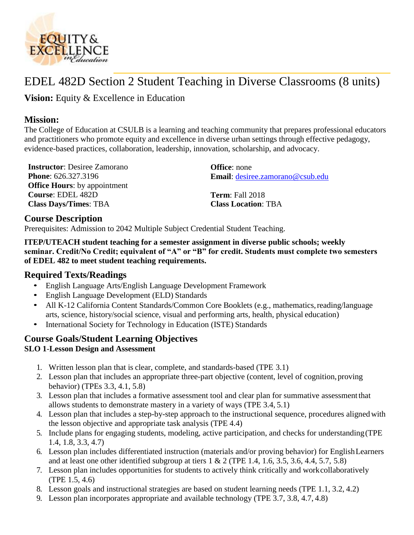

# EDEL 482D Section 2 Student Teaching in Diverse Classrooms (8 units)

**Vision:** Equity & Excellence in Education

# **Mission:**

The College of Education at CSULB is a learning and teaching community that prepares professional educators and practitioners who promote equity and excellence in diverse urban settings through effective pedagogy, evidence-based practices, collaboration, leadership, innovation, scholarship, and advocacy.

**Instructor**: Desiree Zamorano **Office**: none **Phone**: 626.327.3196 **Office Hours**: by appointment **Course**: EDEL 482D **Class Days/Times**: TBA

**Email**: [desiree.zamorano@csub.edu](mailto:desiree.zamorano@csub.edu)

**Term**: Fall 2018 **Class Location**: TBA

# **Course Description**

Prerequisites: Admission to 2042 Multiple Subject Credential Student Teaching.

**ITEP/UTEACH student teaching for a semester assignment in diverse public schools; weekly seminar. Credit/No Credit; equivalent of "A" or "B" for credit. Students must complete two semesters of EDEL 482 to meet student teaching requirements.**

# **Required Texts/Readings**

- English Language Arts/English Language Development Framework
- English Language Development (ELD) Standards
- All K-12 California Content Standards/Common Core Booklets (e.g., mathematics, reading/language arts, science, history/social science, visual and performing arts, health, physical education)
- International Society for Technology in Education (ISTE) Standards

# **Course Goals/Student Learning Objectives SLO 1**-**Lesson Design and Assessment**

- 1. Written lesson plan that is clear, complete, and standards-based (TPE 3.1)
- 2. Lesson plan that includes an appropriate three-part objective (content, level of cognition,proving behavior) (TPEs 3.3, 4.1, 5.8)
- 3. Lesson plan that includes a formative assessment tool and clear plan for summative assessmentthat allows students to demonstrate mastery in a variety of ways (TPE 3.4, 5.1)
- 4. Lesson plan that includes a step-by-step approach to the instructional sequence, procedures aligned with the lesson objective and appropriate task analysis (TPE 4.4)
- 5. Include plans for engaging students, modeling, active participation, and checks for understanding(TPE 1.4, 1.8, 3.3, 4.7)
- 6. Lesson plan includes differentiated instruction (materials and/or proving behavior) for EnglishLearners and at least one other identified subgroup at tiers  $1 \& 2$  (TPE 1.4, 1.6, 3.5, 3.6, 4.4, 5.7, 5.8)
- 7. Lesson plan includes opportunities for students to actively think critically and workcollaboratively (TPE 1.5, 4.6)
- 8. Lesson goals and instructional strategies are based on student learning needs (TPE 1.1, 3.2, 4.2)
- 9. Lesson plan incorporates appropriate and available technology (TPE 3.7, 3.8, 4.7, 4.8)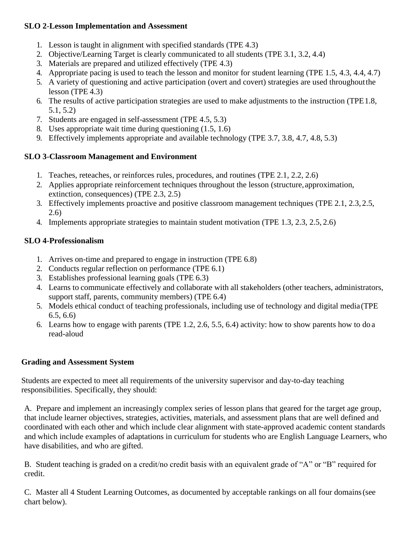## **SLO 2**-**Lesson Implementation and Assessment**

- 1. Lesson is taught in alignment with specified standards (TPE 4.3)
- 2. Objective/Learning Target is clearly communicated to all students (TPE 3.1, 3.2, 4.4)
- 3. Materials are prepared and utilized effectively (TPE 4.3)
- 4. Appropriate pacing is used to teach the lesson and monitor for student learning (TPE 1.5, 4.3, 4.4, 4.7)
- 5. A variety of questioning and active participation (overt and covert) strategies are used throughoutthe lesson (TPE 4.3)
- 6. The results of active participation strategies are used to make adjustments to the instruction (TPE1.8, 5.1, 5.2)
- 7. Students are engaged in self-assessment (TPE 4.5, 5.3)
- 8. Uses appropriate wait time during questioning (1.5, 1.6)
- 9. Effectively implements appropriate and available technology (TPE 3.7, 3.8, 4.7, 4.8, 5.3)

## **SLO 3**-**Classroom Management and Environment**

- 1. Teaches, reteaches, or reinforces rules, procedures, and routines (TPE 2.1, 2.2, 2.6)
- 2. Applies appropriate reinforcement techniques throughout the lesson (structure,approximation, extinction, consequences) (TPE 2.3, 2.5)
- 3. Effectively implements proactive and positive classroom management techniques (TPE 2.1, 2.3, 2.5, 2.6)
- 4. Implements appropriate strategies to maintain student motivation (TPE 1.3, 2.3, 2.5, 2.6)

# **SLO 4**-**Professionalism**

- 1. Arrives on-time and prepared to engage in instruction (TPE 6.8)
- 2. Conducts regular reflection on performance (TPE 6.1)
- 3. Establishes professional learning goals (TPE 6.3)
- 4. Learns to communicate effectively and collaborate with all stakeholders (other teachers, administrators, support staff, parents, community members) (TPE 6.4)
- 5. Models ethical conduct of teaching professionals, including use of technology and digital media(TPE 6.5, 6.6)
- 6. Learns how to engage with parents (TPE 1.2, 2.6, 5.5, 6.4) activity: how to show parents how to do a read-aloud

# **Grading and Assessment System**

Students are expected to meet all requirements of the university supervisor and day-to-day teaching responsibilities. Specifically, they should:

A. Prepare and implement an increasingly complex series of lesson plans that geared for the target age group, that include learner objectives, strategies, activities, materials, and assessment plans that are well defined and coordinated with each other and which include clear alignment with state-approved academic content standards and which include examples of adaptations in curriculum for students who are English Language Learners, who have disabilities, and who are gifted.

B. Student teaching is graded on a credit/no credit basis with an equivalent grade of "A" or "B" required for credit.

C. Master all 4 Student Learning Outcomes, as documented by acceptable rankings on all four domains(see chart below).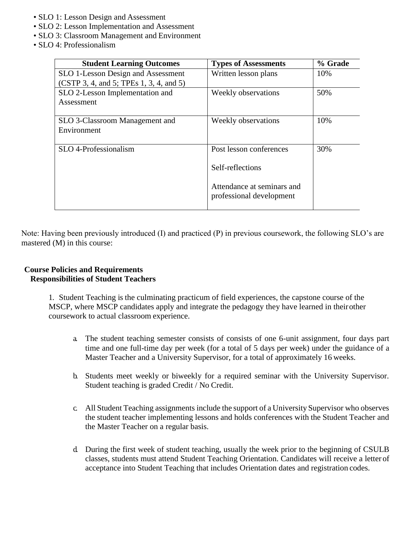- SLO 1: Lesson Design and Assessment
- SLO 2: Lesson Implementation and Assessment
- SLO 3: Classroom Management and Environment
- SLO 4: Professionalism

| <b>Student Learning Outcomes</b>        | <b>Types of Assessments</b> | % Grade |
|-----------------------------------------|-----------------------------|---------|
| SLO 1-Lesson Design and Assessment      | Written lesson plans        | 10%     |
| (CSTP 3, 4, and 5; TPEs 1, 3, 4, and 5) |                             |         |
| SLO 2-Lesson Implementation and         | Weekly observations         | 50%     |
| Assessment                              |                             |         |
|                                         |                             |         |
| SLO 3-Classroom Management and          | Weekly observations         | 10%     |
| Environment                             |                             |         |
|                                         |                             |         |
| SLO 4-Professionalism                   | Post lesson conferences     | 30%     |
|                                         |                             |         |
|                                         | Self-reflections            |         |
|                                         |                             |         |
|                                         | Attendance at seminars and  |         |
|                                         | professional development    |         |
|                                         |                             |         |

Note: Having been previously introduced (I) and practiced (P) in previous coursework, the following SLO's are mastered (M) in this course:

#### **Course Policies and Requirements Responsibilities of Student Teachers**

1. Student Teaching is the culminating practicum of field experiences, the capstone course of the MSCP, where MSCP candidates apply and integrate the pedagogy they have learned in theirother coursework to actual classroom experience.

- a. The student teaching semester consists of consists of one 6-unit assignment, four days part time and one full-time day per week (for a total of 5 days per week) under the guidance of a Master Teacher and a University Supervisor, for a total of approximately 16 weeks.
- b. Students meet weekly or biweekly for a required seminar with the University Supervisor. Student teaching is graded Credit / No Credit.
- c. All Student Teaching assignments include the support of a University Supervisor who observes the student teacher implementing lessons and holds conferences with the Student Teacher and the Master Teacher on a regular basis.
- d. During the first week of student teaching, usually the week prior to the beginning of CSULB classes, students must attend Student Teaching Orientation. Candidates will receive a letter of acceptance into Student Teaching that includes Orientation dates and registration codes.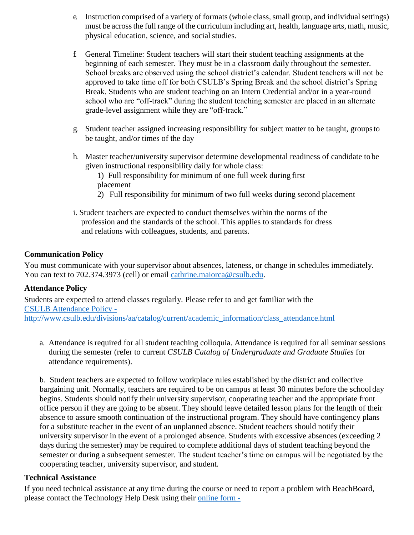- e. Instruction comprised of a variety of formats (whole class, small group, and individual settings) must be across the full range of the curriculum including art, health, language arts, math, music, physical education, science, and social studies.
- f. General Timeline: Student teachers will start their student teaching assignments at the beginning of each semester. They must be in a classroom daily throughout the semester. School breaks are observed using the school district's calendar. Student teachers will not be approved to take time off for both CSULB's Spring Break and the school district's Spring Break. Students who are student teaching on an Intern Credential and/or in a year-round school who are "off-track" during the student teaching semester are placed in an alternate grade-level assignment while they are "off-track."
- g. Student teacher assigned increasing responsibility for subject matter to be taught, groupsto be taught, and/or times of the day
- h. Master teacher/university supervisor determine developmental readiness of candidate to be given instructional responsibility daily for whole class:
	- 1) Full responsibility for minimum of one full week during first placement
	- 2) Full responsibility for minimum of two full weeks during second placement
- i. Student teachers are expected to conduct themselves within the norms of the profession and the standards of the school. This applies to standards for dress and relations with colleagues, students, and parents.

## **Communication Policy**

You must communicate with your supervisor about absences, lateness, or change in schedules immediately. You can text to 702.374.3973 (cell) or email [cathrine.maiorca@csulb.edu.](mailto:cathrine.maiorca@csulb.edu)

#### **Attendance Policy**

Students are expected to attend classes regularly. Please refer to and get familiar with the [CSULB Attendance Policy](http://www.csulb.edu/divisions/aa/catalog/current/academic_information/class_attendance.html)  [http://www.csulb.edu/divisions/aa/catalog/current/academic\\_information/class\\_attendance.html](http://www.csulb.edu/divisions/aa/catalog/current/academic_information/class_attendance.html)

a. Attendance is required for all student teaching colloquia. Attendance is required for all seminar sessions during the semester (refer to current *CSULB Catalog of Undergraduate and Graduate Studies* for attendance requirements).

b. Student teachers are expected to follow workplace rules established by the district and collective bargaining unit. Normally, teachers are required to be on campus at least 30 minutes before the school day begins. Students should notify their university supervisor, cooperating teacher and the appropriate front office person if they are going to be absent. They should leave detailed lesson plans for the length of their absence to assure smooth continuation of the instructional program. They should have contingency plans for a substitute teacher in the event of an unplanned absence. Student teachers should notify their university supervisor in the event of a prolonged absence. Students with excessive absences (exceeding 2 days during the semester) may be required to complete additional days of student teaching beyond the semester or during a subsequent semester. The student teacher's time on campus will be negotiated by the cooperating teacher, university supervisor, and student.

#### **Technical Assistance**

If you need technical assistance at any time during the course or need to report a problem with BeachBoard, please contact the Technology Help Desk using their [online form -](http://www.csulb.edu/divisions/aa/academic_technology/thd/contact/)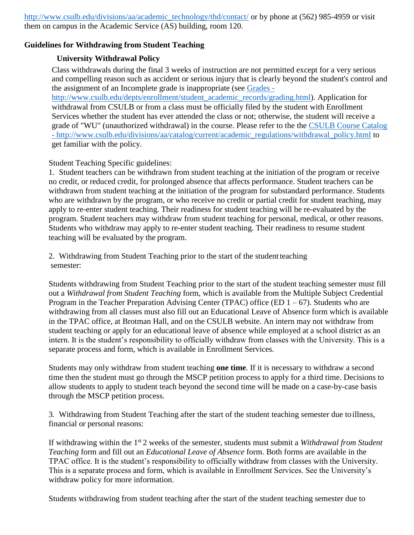[http://www.csulb.edu/divisions/aa/academic\\_technology/thd/contact/](http://www.csulb.edu/divisions/aa/academic_technology/thd/contact/) or by phone at (562) 985-4959 or visit them on campus in the Academic Service (AS) building, room 120.

### **Guidelines for Withdrawing from Student Teaching**

### **University Withdrawal Policy**

Class withdrawals during the final 3 weeks of instruction are not permitted except for a very serious and compelling reason such as accident or serious injury that is clearly beyond the student's control and the assignment of an Incomplete grade is inappropriate (see [Grades -](http://www.csulb.edu/depts/enrollment/student_academic_records/grading.html)

[http://www.csulb.edu/depts/enrollment/student\\_academic\\_records/grading.html\)](http://www.csulb.edu/depts/enrollment/student_academic_records/grading.html). Application for withdrawal from CSULB or from a class must be officially filed by the student with Enrollment Services whether the student has ever attended the class or not; otherwise, the student will receive a grade of "WU" (unauthorized withdrawal) in the course. Please refer to the the [CSULB Course Catalog](http://www.csulb.edu/divisions/aa/catalog/current/academic_regulations/withdrawal_policy.html) - [http://www.csulb.edu/divisions/aa/catalog/current/academic\\_regulations/withdrawal\\_policy.html](http://www.csulb.edu/divisions/aa/catalog/current/academic_regulations/withdrawal_policy.html) to get familiar with the policy.

#### Student Teaching Specific guidelines:

1. Student teachers can be withdrawn from student teaching at the initiation of the program or receive no credit, or reduced credit, for prolonged absence that affects performance. Student teachers can be withdrawn from student teaching at the initiation of the program for substandard performance. Students who are withdrawn by the program, or who receive no credit or partial credit for student teaching, may apply to re-enter student teaching. Their readiness for student teaching will be re-evaluated by the program. Student teachers may withdraw from student teaching for personal, medical, or other reasons. Students who withdraw may apply to re-enter student teaching. Their readiness to resume student teaching will be evaluated by the program.

2. Withdrawing from Student Teaching prior to the start of the studentteaching semester:

Students withdrawing from Student Teaching prior to the start of the student teaching semester must fill out a *Withdrawal from Student Teaching* form, which is available from the Multiple Subject Credential Program in the Teacher Preparation Advising Center (TPAC) office (ED  $1 - 67$ ). Students who are withdrawing from all classes must also fill out an Educational Leave of Absence form which is available in the TPAC office, at Brotman Hall, and on the CSULB website. An intern may not withdraw from student teaching or apply for an educational leave of absence while employed at a school district as an intern. It is the student's responsibility to officially withdraw from classes with the University. This is a separate process and form, which is available in Enrollment Services.

Students may only withdraw from student teaching **one time**. If it is necessary to withdraw a second time then the student must go through the MSCP petition process to apply for a third time. Decisions to allow students to apply to student teach beyond the second time will be made on a case-by-case basis through the MSCP petition process.

3. Withdrawing from Student Teaching after the start of the student teaching semester due toillness, financial or personal reasons:

If withdrawing within the 1st 2 weeks of the semester, students must submit a *Withdrawal from Student Teaching* form and fill out an *Educational Leave of Absence* form. Both forms are available in the TPAC office. It is the student's responsibility to officially withdraw from classes with the University. This is a separate process and form, which is available in Enrollment Services. See the University's withdraw policy for more information.

Students withdrawing from student teaching after the start of the student teaching semester due to